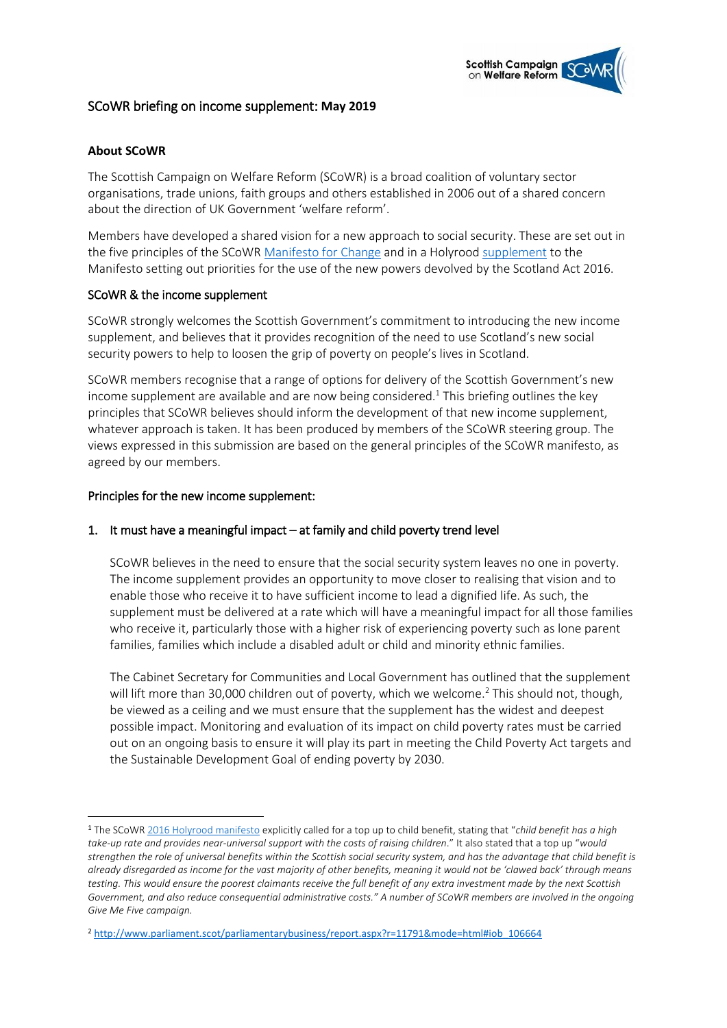

# SCoWR briefing on income supplement: **May 2019**

## **About SCoWR**

**.** 

The Scottish Campaign on Welfare Reform (SCoWR) is a broad coalition of voluntary sector organisations, trade unions, faith groups and others established in 2006 out of a shared concern about the direction of UK Government 'welfare reform'.

Members have developed a shared vision for a new approach to social security. These are set out in the five principles of the SCoWR [Manifesto for Change](http://www.cpag.org.uk/sites/default/files/SCoWR%20manifesto%202013.pdf) and in a Holyrood [supplement](http://www.cpag.org.uk/sites/default/files/SCoWR-Manifesto-Supplement-Holyrood-2016.pdf) to the Manifesto setting out priorities for the use of the new powers devolved by the Scotland Act 2016.

### SCoWR & the income supplement

SCoWR strongly welcomes the Scottish Government's commitment to introducing the new income supplement, and believes that it provides recognition of the need to use Scotland's new social security powers to help to loosen the grip of poverty on people's lives in Scotland.

SCoWR members recognise that a range of options for delivery of the Scottish Government's new income supplement are available and are now being considered.<sup>1</sup> This briefing outlines the key principles that SCoWR believes should inform the development of that new income supplement, whatever approach is taken. It has been produced by members of the SCoWR steering group. The views expressed in this submission are based on the general principles of the SCoWR manifesto, as agreed by our members.

### Principles for the new income supplement:

## 1. It must have a meaningful impact – at family and child poverty trend level

SCoWR believes in the need to ensure that the social security system leaves no one in poverty. The income supplement provides an opportunity to move closer to realising that vision and to enable those who receive it to have sufficient income to lead a dignified life. As such, the supplement must be delivered at a rate which will have a meaningful impact for all those families who receive it, particularly those with a higher risk of experiencing poverty such as lone parent families, families which include a disabled adult or child and minority ethnic families.

The Cabinet Secretary for Communities and Local Government has outlined that the supplement will lift more than 30,000 children out of poverty, which we welcome.<sup>2</sup> This should not, though, be viewed as a ceiling and we must ensure that the supplement has the widest and deepest possible impact. Monitoring and evaluation of its impact on child poverty rates must be carried out on an ongoing basis to ensure it will play its part in meeting the Child Poverty Act targets and the Sustainable Development Goal of ending poverty by 2030.

<sup>1</sup> The SCoWR [2016 Holyrood manifesto](http://www.cpag.org.uk/sites/default/files/SCoWR-Manifesto-Supplement-Holyrood-2016.pdf) explicitly called for a top up to child benefit, stating that "*child benefit has a high take-up rate and provides near-universal support with the costs of raising children*." It also stated that a top up "*would strengthen the role of universal benefits within the Scottish social security system, and has the advantage that child benefit is already disregarded as income for the vast majority of other benefits, meaning it would not be 'clawed back' through means testing. This would ensure the poorest claimants receive the full benefit of any extra investment made by the next Scottish*  Government, and also reduce consequential administrative costs." A number of SCoWR members are involved in the ongoing *Give Me Five campaign.* 

<sup>2</sup> [http://www.parliament.scot/parliamentarybusiness/report.aspx?r=11791&mode=html#iob\\_106664](http://www.parliament.scot/parliamentarybusiness/report.aspx?r=11791&mode=html#iob_106664)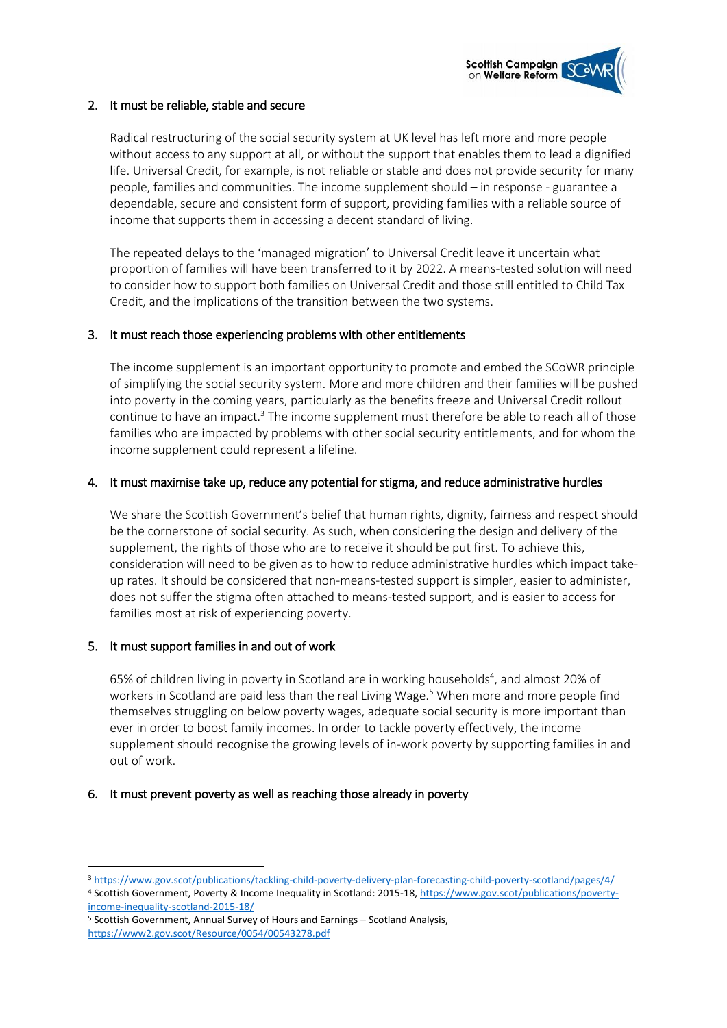

#### 2. It must be reliable, stable and secure

Radical restructuring of the social security system at UK level has left more and more people without access to any support at all, or without the support that enables them to lead a dignified life. Universal Credit, for example, is not reliable or stable and does not provide security for many people, families and communities. The income supplement should – in response - guarantee a dependable, secure and consistent form of support, providing families with a reliable source of income that supports them in accessing a decent standard of living.

The repeated delays to the 'managed migration' to Universal Credit leave it uncertain what proportion of families will have been transferred to it by 2022. A means-tested solution will need to consider how to support both families on Universal Credit and those still entitled to Child Tax Credit, and the implications of the transition between the two systems.

### 3. It must reach those experiencing problems with other entitlements

The income supplement is an important opportunity to promote and embed the SCoWR principle of simplifying the social security system. More and more children and their families will be pushed into poverty in the coming years, particularly as the benefits freeze and Universal Credit rollout continue to have an impact. $3$  The income supplement must therefore be able to reach all of those families who are impacted by problems with other social security entitlements, and for whom the income supplement could represent a lifeline.

### 4. It must maximise take up, reduce any potential for stigma, and reduce administrative hurdles

We share the Scottish Government's belief that human rights, dignity, fairness and respect should be the cornerstone of social security. As such, when considering the design and delivery of the supplement, the rights of those who are to receive it should be put first. To achieve this, consideration will need to be given as to how to reduce administrative hurdles which impact takeup rates. It should be considered that non-means-tested support is simpler, easier to administer, does not suffer the stigma often attached to means-tested support, and is easier to access for families most at risk of experiencing poverty.

#### 5. It must support families in and out of work

**.** 

65% of children living in poverty in Scotland are in working households<sup>4</sup>, and almost 20% of workers in Scotland are paid less than the real Living Wage.<sup>5</sup> When more and more people find themselves struggling on below poverty wages, adequate social security is more important than ever in order to boost family incomes. In order to tackle poverty effectively, the income supplement should recognise the growing levels of in-work poverty by supporting families in and out of work.

#### 6. It must prevent poverty as well as reaching those already in poverty

<sup>5</sup> Scottish Government, Annual Survey of Hours and Earnings – Scotland Analysis, <https://www2.gov.scot/Resource/0054/00543278.pdf>

<sup>3</sup> <https://www.gov.scot/publications/tackling-child-poverty-delivery-plan-forecasting-child-poverty-scotland/pages/4/> <sup>4</sup> Scottish Government, Poverty & Income Inequality in Scotland: 2015-18[, https://www.gov.scot/publications/poverty](https://www.gov.scot/publications/poverty-income-inequality-scotland-2015-18/)[income-inequality-scotland-2015-18/](https://www.gov.scot/publications/poverty-income-inequality-scotland-2015-18/)